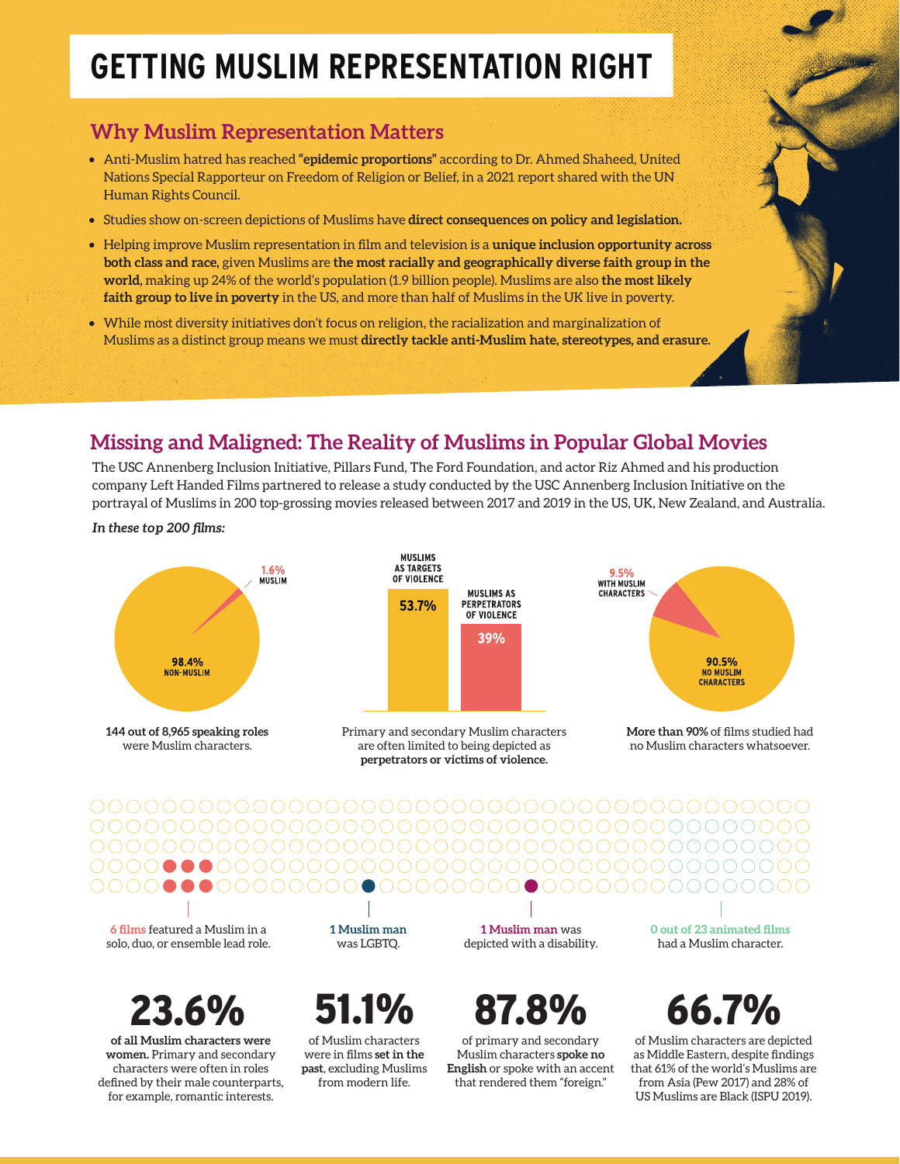# **GETTING MUSLIM REPRESENTATION RIGHT**

### **Why Muslim Representation Matters**

- Anti-Muslim hatred has reached **"epidemic proportions"** according to Dr. Ahmed Shaheed, United Nations Special Rapporteur on Freedom of Religion or Belief, in a 2021 report shared with the UN Human Rights Council.
- Studies show on-screen depictions of Muslims have **direct consequences on policy and legislation.**
- Helping improve Muslim representation in film and television is a **unique inclusion opportunity across both class and race,** given Muslims are **the most racially and geographically diverse faith group in the world,** making up 24% of the world's population (1.9 billion people). Muslims are also **the most likely faith group to live in poverty** in the US, and more than half of Muslims in the UK live in poverty.
- While most diversity initiatives don't focus on religion, the racialization and marginalization of Muslims as a distinct group means we must **directly tackle anti-Muslim hate, stereotypes, and erasure.**

### **Missing and Maligned: The Reality of Muslims in Popular Global Movies**

The USC Annenberg Inclusion Initiative, Pillars Fund, The Ford Foundation, and actor Riz Ahmed and his production company Left Handed Films partnered to release a study conducted by the USC Annenberg Inclusion Initiative on the portrayal of Muslims in 200 top-grossing movies released between 2017 and 2019 in the US, UK, New Zealand, and Australia.

*In these top 200 films:*



**144 out of 8,965 speaking roles** were Muslim characters.



Primary and secondary Muslim characters are often limited to being depicted as **perpetrators or victims of violence.**



**More than 90%** of films studied had no Muslim characters whatsoever.

**6 films** featured a Muslim in a solo, duo, or ensemble lead role.

23.6%

**of all Muslim characters were women.** Primary and secondary characters were often in roles defined by their male counterparts, for example, romantic interests.

**1 Muslim man**  was LGBTQ.

of Muslim characters were in films **set in the past**, excluding Muslims from modern life.

**1 Muslim man** was depicted with a disability.

51.1% 87.8% 66.7%

of primary and secondary Muslim characters **spoke no English** or spoke with an accent that rendered them "foreign."

**0 out of 23 animated films**  had a Muslim character.

of Muslim characters are depicted as Middle Eastern, despite findings that 61% of the world's Muslims are from Asia (Pew 2017) and 28% of US Muslims are Black (ISPU 2019).